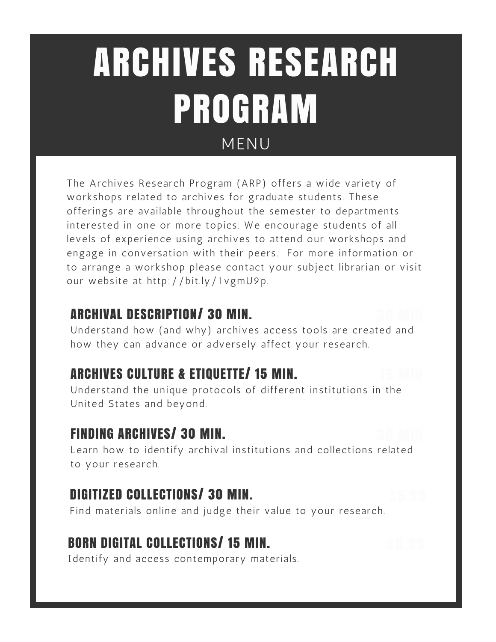# MENU ARCHIVES RESEARCH PROGRAM

The Archives Research Program (ARP) offers a wide variety of workshops related to archives for graduate students. These offerings are available throughout the semester to departments interested in one or more topics. We encourage students of all levels of experience using archives to attend our workshops and engage in conversation with their peers. For more information or to arrange a workshop please contact your subject librarian or visit our website at http://bit.ly/1vgmU9p.

# ARCHIVAL DESCRIPTION/ 30 MIN.

Understand how (and why) archives access tools are created and how they can advance or adversely affect your research.

# ARCHIVES CULTURE & ETIQUETTE/ 15 MIN.

Understand the unique protocols of different institutions in the United States and beyond.

# FINDING ARCHIVES/ 30 MIN.

Learn how to identify archival institutions and collections related to your research.

# DIGITIZED COLLECTIONS/ 30 MIN.

Find materials online and judge their value to your research.

# BORN DIGITAL COLLECTIONS/ 15 MIN.

Identify and access contemporary materials.